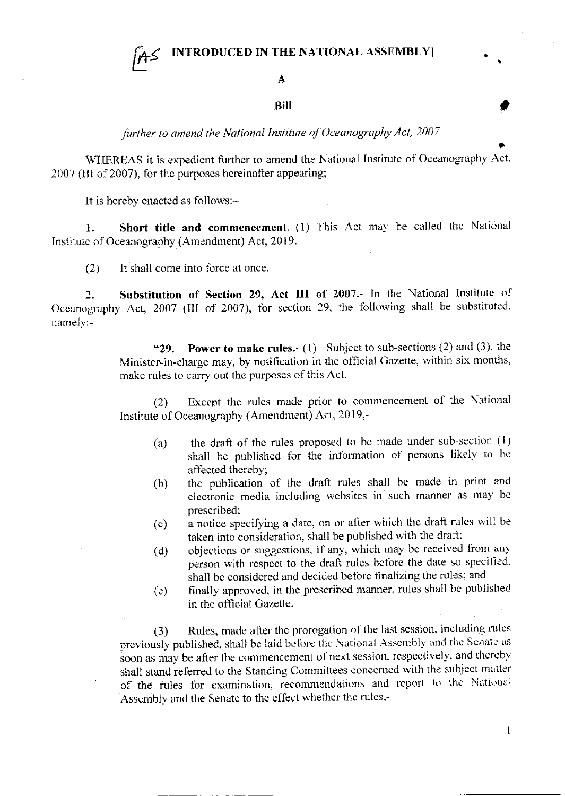## A

## Bill **Bill Bill**

further to amend the National Institute of Oceanography Act, 2007

WHEREAS it is expedient further to amend the National Institute of Oceanography Act, 2007 (III of 2007), for the purposes hereinafter appearing;

It is hereby enacted as follows:-

1. Short title and commencement.- $(1)$  This Act may be called the National Institute of Oceanography (Amendment) Act, 2019.

(2) It shall come into force at once.

2. Substitution of Section 29, Act III of 2007.- In the National Institute of Oceanography Act, 2007 (III of 2007), for section 29, the following shall be substituted, namely:-

> "29. Power to make rules.-  $(1)$  Subject to sub-sections  $(2)$  and  $(3)$ , the Minister-in-charge may, by notification in the official Gazette, within six months, make rules to carry out the purposes of this Act.

> (2) Except the rules made prior to commencement of the National Institute of Oceanography (Amendment) Act, 2019,-

- (a) the draft of the rules proposed to be made under sub-section (l) shall be published for the infornation of pcrsons likely to be affected thereby;
- (b) the publication of the draft rules shall be made in print and clectronic media including websites in such manner as may be prescribed;
- (c) a notice specifying a date, on or after which the draft rules will be taken into consideration. shall be published with the draft:
- (d) objections or suggestions, if any, which may be received from any person with respect to the draft rules before the date so specified, shall be considered and decided before finalizing the rules; and
- (e) finally approved, in the prescribed manner, rules shall be published in the official Gazette.

(3) Rules, made after the prorogation of the last session, including rules previously published, shall be laid before the National Assembly and the Senate as soon as may be after the commencement of next session, respectively, and thereby shall stand referred to the Standing Committees consemed with the subiect matler of the rules for examination, recommendations and report to the National Assembly and the Senate to the effect whether the rules,-

i